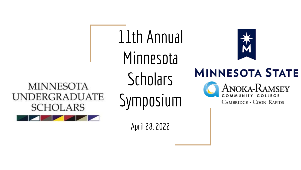**MINNESOTA UNDERGRADUATE SCHOLARS** 

11th Annual Minnesota **Scholars** Symposium

April 28, 2022



**MINNESOTA STATE ANOKA-RAMSEY** 

CAMBRIDGE · COON RAPIDS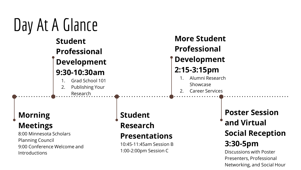# Day At A Glance **Student Professional Development 9:30-10:30am** 1. Grad School 101 2. Publishing Your

Research

## **Morning Meetings**

8:00 Minnesota Scholars Planning Council 9:00 Conference Welcome and **Introductions** 

## **Student**

**Research** 

## **Presentations**

10:45-11:45am Session B 1:00-2:00pm Session C

## **More Student Professional Development 2:15-3:15pm**

- 1. Alumni Research Showcase
- 2. Career Services

**Poster Session and Virtual Social Reception 3:30-5pm**

Discussions with Poster Presenters, Professional Networking, and Social Hour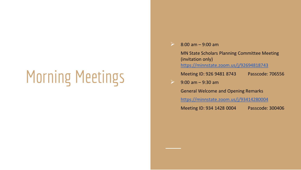# Morning Meetings

#### $8:00 \text{ am} - 9:00 \text{ am}$

MN State Scholars Planning Committee Meeting (invitation only) <https://minnstate.zoom.us/j/92694818743>

Meeting ID: 926 9481 8743 Passcode: 706556

#### $9:00$  am  $-9:30$  am

General Welcome and Opening Remarks

<https://minnstate.zoom.us/j/93414280004>

Meeting ID: 934 1428 0004 Passcode: 300406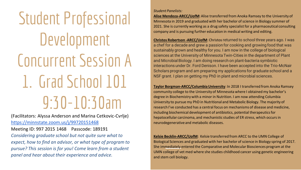Student Professional Development Concurrent Session A 1. Grad School 101 9:30-10:30am

(Facilitators: Alyssa Anderson and Marina Cetkovic-Cvrlje) <https://minnstate.zoom.us/j/99720151468>

Meeting ID: 997 2015 1468 Passcode: 189191

*Considering graduate school but not quite sure what to expect, how to find an advisor, or what type of program to pursue? This session is for you! Come learn from a student panel and hear about their experience and advice.*

#### *Student Panelists:*

**Alise Mendoza-ARCC/UofM**: Alise transferred from Anoka Ramsey to the University of Minnesota in 2019 and graduated with her bachelor of science in Biology summer of 2021. She is currently working as a drug safety specialist for a pharmaceutical consulting company and is pursuing further education in medical writing and editing.

**Christos Robertson -ARCC/UofM**: Christos returned to school three years ago. I was a chef for a decade and grew a passion for cooking and growing food that was sustainably grown and healthy for you. I am now in the college of biological sciences at the University of Minnesota Twin-Cities in the department of Plant and Microbial Biology. I am doing research on plant-bacteria symbiotic interactions under Dr. Ford Denison. I have been accepted into the Trio-McNair Scholars program and am preparing my applications for graduate school and a NSF grant. I plan on getting my PhD in plant and microbial sciences.

**Taylor Borgman-ARCC/Columbia University**: In 2018 I transferred from Anoka Ramsey community college to the University of Minnesota where I obtained my bachelor's degree in Biochemistry with a minor in Nutrition. I am now attending Columbia University to pursue my PhD in Nutritional and Metabolic Biology. The majority of research I've conducted has a central focus on mechanisms of disease and medicine, including biochemical development of antibiotics, potential therapeutics for hepatocellular carcinoma, and mechanistic studies of ER stress, which occurs in neurodegenerative and metabolic diseases.

**Kelsie Becklin-ARCC/UofM**: Kelsie transferred from ARCC to the UMN College of Biological Sciences and graduated with her bachelor of science in Biology spring of 2017. She immediately entered the Comparative and Molecular Biosciences program at the UMN college of vet med where she studies childhood cancer using genetic engineering and stem cell biology.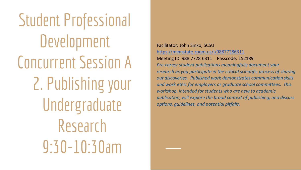Student Professional Development Concurrent Session A 2. Publishing your Undergraduate Research 9:30-10:30am

Facilitator: John Sinko, SCSU <https://minnstate.zoom.us/j/98877286311> Meeting ID: 988 7728 6311 Passcode: 152189

*Pre-career student publications meaningfully document your research as you participate in the critical scientific process of sharing out discoveries. Published work demonstrates communication skills and work ethic for employers or graduate school committees. This workshop, intended for students who are new to academic publication, will explore the broad context of publishing, and discuss options, guidelines, and potential pitfalls.*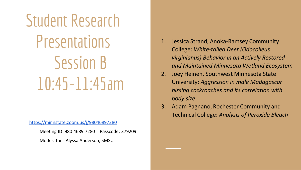# Student Research **Presentations** Session B 10:45-11:45am

<https://minnstate.zoom.us/j/98046897280>

Meeting ID: 980 4689 7280 Passcode: 379209

Moderator - Alyssa Anderson, SMSU

- 1. Jessica Strand, Anoka-Ramsey Community College: *White-tailed Deer (Odocoileus virginianus) Behavior in an Actively Restored and Maintained Minnesota Wetland Ecosystem*
- 2. Joey Heinen, Southwest Minnesota State University: *Aggression in male Madagascar hissing cockroaches and its correlation with body size*
- 3. Adam Pagnano, Rochester Community and Technical College: *Analysis of Peroxide Bleach*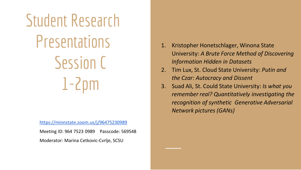# Student Research **Presentations** Session C 1-2pm

<https://minnstate.zoom.us/j/96475230989>

Meeting ID: 964 7523 0989 Passcode: 569548

Moderator: Marina Cetkovic-Cvrlje, SCSU

- 1. Kristopher Honetschlager, Winona State University: *A Brute Force Method of Discovering Information Hidden in Datasets*
- 2. Tim Lux, St. Cloud State University: *Putin and the Czar: Autocracy and Dissent*
- 3. Suad Ali, St. Could State University: *Is what you remember real? Quantitatively investigating the recognition of synthetic Generative Adversarial Network pictures (GANs)*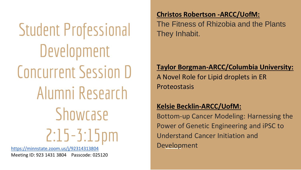Student Professional Development Concurrent Session D Alumni Research **Showcase** 2:15-3:15pm <https://minnstate.zoom.us/j/92314313804>

Meeting ID: 923 1431 3804 Passcode: 025120

### **Christos Robertson -ARCC/UofM:**

The Fitness of Rhizobia and the Plants They Inhabit.

### **Taylor Borgman-ARCC/Columbia University:**

A Novel Role for Lipid droplets in ER Proteostasis

### **Kelsie Becklin-ARCC/UofM:**

Bottom-up Cancer Modeling: Harnessing the Power of Genetic Engineering and iPSC to Understand Cancer Initiation and Development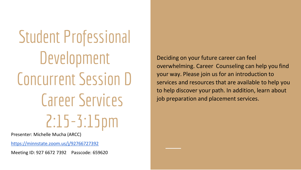Student Professional Development Concurrent Session D Career Services 2:15-3:15pm

Presenter: Michelle Mucha (ARCC)

<https://minnstate.zoom.us/j/92766727392>

Meeting ID: 927 6672 7392 Passcode: 659620

Deciding on your future career can feel overwhelming. Career Counseling can help you find your way. Please join us for an introduction to services and resources that are available to help you to help discover your path. In addition, learn about job preparation and placement services.